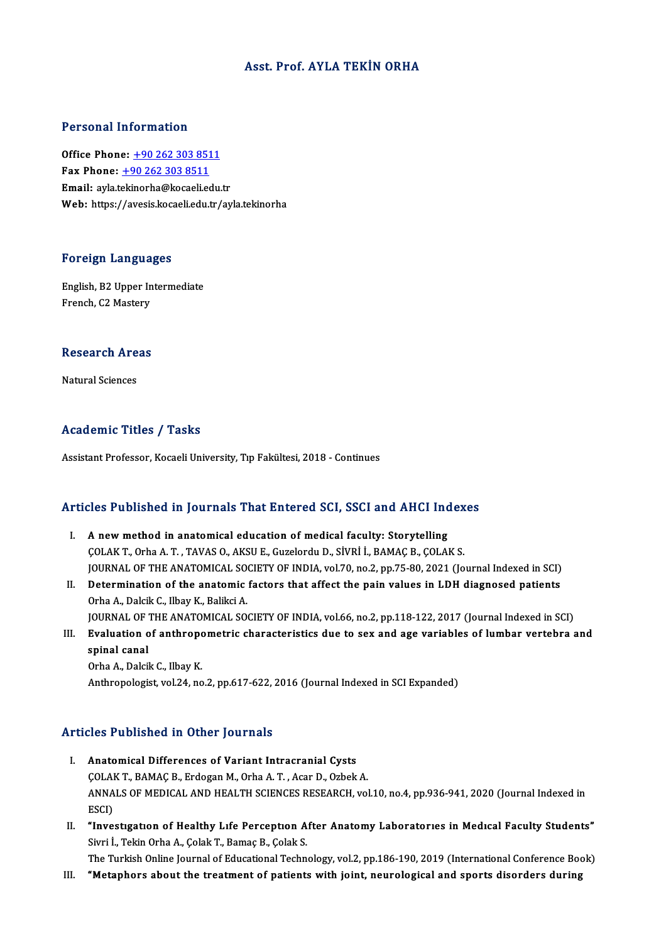#### Asst. Prof. AYLA TEKİN ORHA

#### Personal Information

Office Phone: +90 262 303 8511 Fax Phone:  $+90 262 303 8511$ Email: ayla.t[ekinorha@kocaeli.edu](tel:+90 262 303 8511).tr Web: https://avesis.kocaeli.edu.tr/ayla.tekinorha

#### Foreign Languages

Foreign Languages<br>English, B2 Upper Intermediate<br>Eransh C3 Mastery For organ manigum<br>English, B2 Upper In<br>French, C2 Mastery

## rrencn, Cz Mastery<br>Research Areas <mark>Research Are</mark><br>Natural Sciences

## Natural Sciences<br>Academic Titles / Tasks

Assistant Professor, Kocaeli University, Tıp Fakültesi, 2018 - Continues

# Assistant Protessor, Kocaeli University, Tip Pakultesi, 2018 - Continues<br>Articles Published in Journals That Entered SCI, SSCI and AHCI Indexes

- rticles Published in Journals That Entered SCI, SSCI and AHCI Inc<br>I. A new method in anatomical education of medical faculty: Storytelling<br>COLAKT Orba A.T. TAVAS O. AKSUE Curclerdy D. Stypi LRAMAC B. COLAI I. A new method in anatomical education of medical faculty: Storytelling<br>COLAK T., Orha A.T., TAVAS O., AKSU E., Guzelordu D., SİVRİ İ., BAMAÇ B., ÇOLAK S. A new method in anatomical education of medical faculty: Storytelling<br>COLAK T., Orha A. T. , TAVAS O., AKSU E., Guzelordu D., SİVRİ İ., BAMAÇ B., COLAK S.<br>JOURNAL OF THE ANATOMICAL SOCIETY OF INDIA, vol.70, no.2, pp.75-80, COLAK T., Orha A. T., TAVAS O., AKSU E., Guzelordu D., SİVRİ İ., BAMAÇ B., ÇOLAK S.<br>JOURNAL OF THE ANATOMICAL SOCIETY OF INDIA, vol.70, no.2, pp.75-80, 2021 (Journal Indexed in SCI)<br>II. Determination of the anatomic factor
- **JOURNAL OF THE ANATOMICAL SONAL SONAL PROPER AT ALCORATION CONTROLL SONAL PROPERTY OF THE ANATOMICAL SONAL PROPERTY OF THE ANATOMICAL SON** Determination of the anatomic factors that affect the pain values in LDH diagnosed patients<br>Orha A., Dalcik C., Ilbay K., Balikci A.<br>JOURNAL OF THE ANATOMICAL SOCIETY OF INDIA, vol.66, no.2, pp.118-122, 2017 (Journal Index
- Orha A., Dalcik C., Ilbay K., Balikci A.<br>JOURNAL OF THE ANATOMICAL SOCIETY OF INDIA, vol.66, no.2, pp.118-122, 2017 (Journal Indexed in SCI)<br>III. Evaluation of anthropometric characteristics due to sex and age variables of **JOURNAL OF**<br>Evaluation of<br>spinal canal<br>Orba A Dalsi

OrhaA.,DalcikC., IlbayK. Anthropologist, vol.24, no.2, pp.617-622, 2016 (Journal Indexed in SCI Expanded)

#### Articles Published in Other Journals

- I. Anatomical Differences of Variant Intracranial Cysts ÇOLAKT.,BAMAÇB.,ErdoganM.,OrhaA.T. ,AcarD.,OzbekA. Anatomical Differences of Variant Intracranial Cysts<br>ÇOLAK T., BAMAÇ B., Erdogan M., Orha A. T. , Acar D., Ozbek A.<br>ANNALS OF MEDICAL AND HEALTH SCIENCES RESEARCH, vol.10, no.4, pp.936-941, 2020 (Journal Indexed in<br>ESCD COLAI<br>ANNA<br>ESCI)<br>"Inue ANNALS OF MEDICAL AND HEALTH SCIENCES RESEARCH, vol.10, no.4, pp.936-941, 2020 (Journal Indexed in<br>ESCI)<br>II. "Investigation of Healthy Life Perception After Anatomy Laboratories in Medical Faculty Students"<br>Simi J. Tekin O
- ESCI)<br>II. "Investigation of Healthy Life Perception After Anatomy Laboratories in Medical Faculty Students"<br>Sivri İ., Tekin Orha A., Çolak T., Bamaç B., Çolak S.

The Turkish Online Journal of Educational Technology, vol.2, pp.186-190, 2019 (International Conference Book)

III. "Metaphors about the treatment of patients with joint, neurological and sports disorders during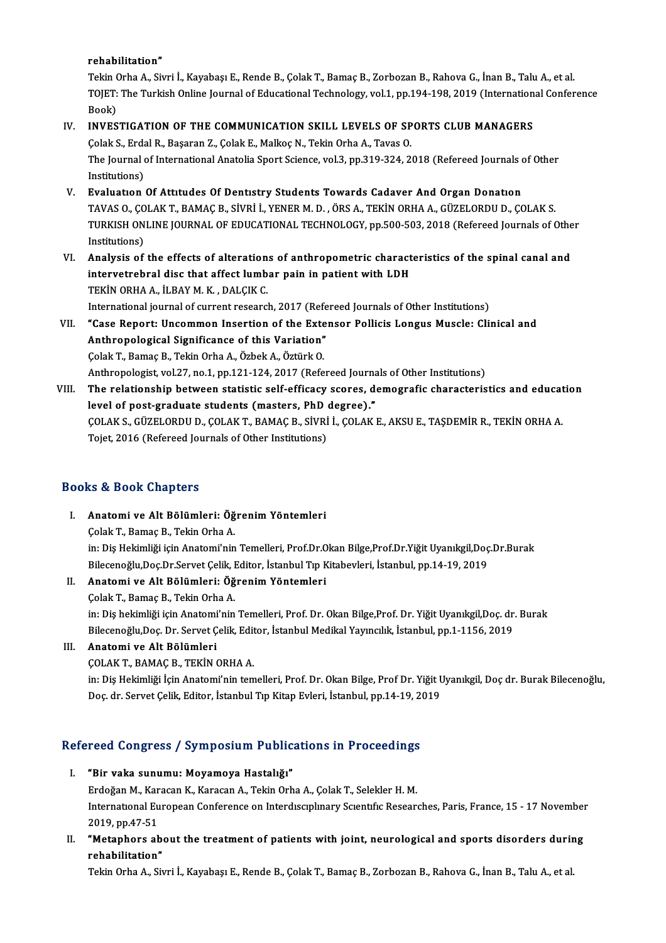#### rehabilitation"

rehabilitation"<br>Tekin Orha A., Sivri İ., Kayabaşı E., Rende B., Çolak T., Bamaç B., Zorbozan B., Rahova G., İnan B., Talu A., et al.<br>TOIET: The Turkish Orline Journal of Educational Technology, vol 1-nn 104-108-2010 (Inter rehabilitation"<br>Tekin Orha A., Sivri İ., Kayabaşı E., Rende B., Çolak T., Bamaç B., Zorbozan B., Rahova G., İnan B., Talu A., et al.<br>TOJET: The Turkish Online Journal of Educational Technology, vol.1, pp.194-198, 2019 (Int Tekin (<br>TOJET:<br>Book)<br>INVES TOJET: The Turkish Online Journal of Educational Technology, vol.1, pp.194-198, 2019 (Internation<br>Book)<br>IV. INVESTIGATION OF THE COMMUNICATION SKILL LEVELS OF SPORTS CLUB MANAGERS<br>Colak S. Erdal B. Basaran Z. Colak E. Malk

## Book)<br>INVESTIGATION OF THE COMMUNICATION SKILL LEVELS OF SP<br>Çolak S., Erdal R., Başaran Z., Çolak E., Malkoç N., Tekin Orha A., Tavas O.<br>The Journal of International Anatolia Sport Science vol 3 np 319 324-2.

INVESTIGATION OF THE COMMUNICATION SKILL LEVELS OF SPORTS CLUB MANAGERS<br>Çolak S., Erdal R., Başaran Z., Çolak E., Malkoç N., Tekin Orha A., Tavas O.<br>The Journal of International Anatolia Sport Science, vol.3, pp.319-324, 2 Colak S., Erda<br>The Journal<br>Institutions)<br>Evaluation

- V. Evaluatıon Of Attıtudes Of Dentıstry Students Towards Cadaver And Organ Donatıon Institutions)<br><mark>Evaluation Of Attitudes Of Dentistry Students Towards Cadaver And Organ Donation</mark><br>TAVAS O., ÇOLAK T., BAMAÇ B., SİVRİ İ., YENER M. D. , ÖRS A., TEKİN ORHA A., GÜZELORDU D., ÇOLAK S.<br>TURKISH ONLINE IQURNAL OF Evaluation Of Attitudes Of Dentistry Students Towards Cadaver And Organ Donation<br>TAVAS O., ÇOLAK T., BAMAÇ B., SİVRİ İ., YENER M. D. , ÖRS A., TEKİN ORHA A., GÜZELORDU D., ÇOLAK S.<br>TURKISH ONLINE JOURNAL OF EDUCATIONAL TEC TAVAS O., ÇO<br>TURKISH ON<br>Institutions)<br>Analysis of TURKISH ONLINE JOURNAL OF EDUCATIONAL TECHNOLOGY, pp.500-503, 2018 (Refereed Journals of Other<br>Institutions)<br>VI. Analysis of the effects of alterations of anthropometric characteristics of the spinal canal and
- Institutions)<br>Analysis of the effects of alterations of anthropometric charact<br>intervetrebral disc that affect lumbar pain in patient with LDH<br>TEKIN ORHA A, ILBAY M, K., DALGIK G Analysis of the effects of alteration<br>intervetrebral disc that affect lumb<br>TEKİN ORHA A., İLBAY M. K. , DALÇIK C.<br>International journal of gurrent research TEKİN ORHA A., İLBAY M. K. , DALÇIK C.<br>International journal of current research, 2017 (Refereed Journals of Other Institutions)
- TEKİN ORHA A., İLBAY M. K. , DALÇIK C.<br>International journal of current research, 2017 (Refereed Journals of Other Institutions)<br>VII. "Case Report: Uncommon Insertion of the Extensor Pollicis Longus Muscle: Clinical and<br>An International journal of current research, 2017 (Refe<br>"Case Report: Uncommon Insertion of the Exte<br>Anthropological Significance of this Variation"<br>Colak T. Bamas B. Tokin Orba A. Örbek A. Örtürk O "Case Report: Uncommon Insertion of the Exte<br>Anthropological Significance of this Variation"<br>Colak T., Bamaç B., Tekin Orha A., Özbek A., Öztürk O.<br>Anthropologist vel 37 no 1 nn 121 124 2017 (Refe Anthropological Significance of this Variation"<br>Çolak T., Bamaç B., Tekin Orha A., Özbek A., Öztürk O.<br>Anthropologist, vol.27, no.1, pp.121-124, 2017 (Refereed Journals of Other Institutions)<br>The relationship between stati
- Colak T., Bamaç B., Tekin Orha A., Özbek A., Öztürk O.<br>Anthropologist, vol.27, no.1, pp.121-124, 2017 (Refereed Journals of Other Institutions)<br>VIII. The relationship between statistic self-efficacy scores, demografic char Anthropologist, vol.27, no.1, pp.121-124, 2017 (Refereed Journa<br>The relationship between statistic self-efficacy scores, devel of post-graduate students (masters, PhD degree)."<br>COLAKS CÜZELOPDUD COLAKT PAMACP SWPLL COLAKE The relationship between statistic self-efficacy scores, demografic characteristics and educat<br>level of post-graduate students (masters, PhD degree)."<br>ÇOLAK S., GÜZELORDU D., ÇOLAK T., BAMAÇ B., SİVRİ İ., ÇOLAK E., AKSU E. level of post-graduate students (masters, PhD (<br>ÇOLAK S., GÜZELORDU D., ÇOLAK T., BAMAÇ B., SİVRİ<br>Tojet, 2016 (Refereed Journals of Other Institutions) Tojet, 2016 (Refereed Journals of Other Institutions)<br>Books & Book Chapters

- I. Anatomi ve Alt Bölümleri: ÖğrenimYöntemleri ÇolakT.,BamaçB.,TekinOrhaA. Anatomi ve Alt Bölümleri: Öğrenim Yöntemleri<br>Çolak T., Bamaç B., Tekin Orha A.<br>in: Diş Hekimliği için Anatomi'nin Temelleri, Prof.Dr.Okan Bilge,Prof.Dr.Yiğit Uyanıkgil,Doç.Dr.Burak<br>Bilgeanağlu Des Dr Sarvet Colik Editor, İ Çolak T., Bamaç B., Tekin Orha A.<br>in: Diş Hekimliği için Anatomi'nin Temelleri, Prof.Dr.Okan Bilge,Prof.Dr.Yiğit Uyanıkgil,Doç<br>Bilecenoğlu,Doç.Dr.Servet Çelik, Editor, İstanbul Tıp Kitabevleri, İstanbul, pp.14-19, 2019<br>Ana Bilecenoğlu, Doç.Dr.Servet Çelik, Editor, İstanbul Tıp Kitabevleri, İstanbul, pp.14-19, 2019
- II. Anatomi ve Alt Bölümleri: Öğrenim Yöntemleri<br>Çolak T., Bamaç B., Tekin Orha A. in: Diş hekimliği için Anatomi'nin Temelleri, Prof. Dr. Okan Bilge,Prof. Dr. Yiğit Uyanıkgil,Doç. dr. Burak Çolak T., Bamaç B., Tekin Orha A.<br>in: Diş hekimliği için Anatomi'nin Temelleri, Prof. Dr. Okan Bilge,Prof. Dr. Yiğit Uyanıkgil,Doç. dr.<br>Bilecenoğlu,Doç. Dr. Servet Çelik, Editor, İstanbul Medikal Yayıncılık, İstanbul, pp.1 Bilecenoğlu,Doç. Dr. Servet Çelik, Edit<br>Anatomi ve Alt Bölümleri<br>ÇOLAK T., BAMAÇ B., TEKİN ORHA A.<br>in: Dis Helsimliği İçin Anatomi'nin tam

### III. Anatomi ve Alt Bölümleri<br>COLAK T., BAMAÇ B., TEKİN ORHA A.

Anatomi ve Alt Bölümleri<br>ÇOLAK T., BAMAÇ B., TEKİN ORHA A.<br>in: Diş Hekimliği İçin Anatomi'nin temelleri, Prof. Dr. Okan Bilge, Prof Dr. Yiğit Uyanıkgil, Doç dr. Burak Bilecenoğlu,<br>Doç dr. Sorvet Çolik Editor, İstanbul Tın ÇOLAK T., BAMAÇ B., TEKİN ORHA A.<br>in: Diş Hekimliği İçin Anatomi'nin temelleri, Prof. Dr. Okan Bilge, Prof Dr. Yiğit U<br>Doç. dr. Servet Çelik, Editor, İstanbul Tıp Kitap Evleri, İstanbul, pp.14-19, 2019

# Doç, ar. servet çelik, Editor, Istanbul Tip Kitap Evieri, Istanbul, pp.14-19, 26<br>Refereed Congress / Symposium Publications in Proceedings

- efereed Congress / Symposium Public<br>I. "Bir vaka sunumu: Moyamoya Hastalığı"<br>Erdeğan M. Karagan K. Karagan A. Tekin Orb Erdoğan M., Karacan K., Karacan A., Tekin Orha A., Çolak T., Selekler H. M.<br>"Bir vaka sunumu: Moyamoya Hastalığı"<br>International Euronean Conference en Interdiscuplurery Scientific Bessex: I. "Bir vaka sunumu: Moyamoya Hastalığı"<br>Erdoğan M., Karacan K., Karacan A., Tekin Orha A., Çolak T., Selekler H. M.<br>International European Conference on Interdisciplinary Scientific Researches, Paris, France, 15 - 17 Nove Erdoğan M., Kar<br>International Eu<br>2019, pp.47-51<br>**"M**etanhors ak International European Conference on Interdisciplinary Scientific Researches, Paris, France, 15 - 17 November<br>2019, pp.47-51<br>II. "Metaphors about the treatment of patients with joint, neurological and sports disorders duri
- 2019, pp.47-51<br>**"Metaphors ab**<br>rehabilitation"<br>Tekin Orba A. Sii "Metaphors about the treatment of patients with joint, neurological and sports disorders durir<br>rehabilitation"<br>Tekin Orha A., Sivri İ., Kayabaşı E., Rende B., Çolak T., Bamaç B., Zorbozan B., Rahova G., İnan B., Talu A., e